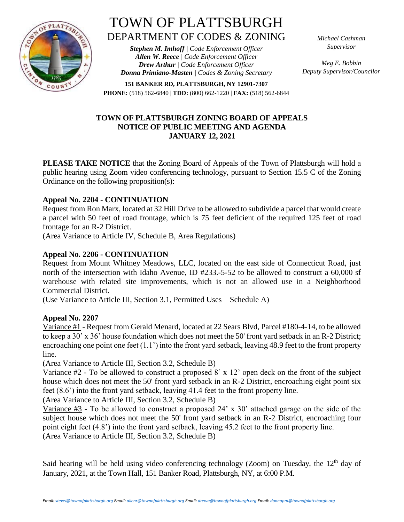

# TOWN OF PLATTSBURGH DEPARTMENT OF CODES & ZONING

*Stephen M. Imhoff | Code Enforcement Officer Allen W. Reece | Code Enforcement Officer Drew Arthur | Code Enforcement Officer Donna Primiano-Masten | Codes & Zoning Secretary* *Michael Cashman Supervisor*

*Meg E. Bobbin Deputy Supervisor/Councilor*

**151 BANKER RD, PLATTSBURGH, NY 12901-7307 PHONE:** (518) 562-6840 | **TDD:** (800) 662-1220 | **FAX:** (518) 562-6844

## **TOWN OF PLATTSBURGH ZONING BOARD OF APPEALS NOTICE OF PUBLIC MEETING AND AGENDA JANUARY 12, 2021**

**PLEASE TAKE NOTICE** that the Zoning Board of Appeals of the Town of Plattsburgh will hold a public hearing using Zoom video conferencing technology, pursuant to Section 15.5 C of the Zoning Ordinance on the following proposition(s):

## **Appeal No. 2204 - CONTINUATION**

Request from Ron Marx, located at 32 Hill Drive to be allowed to subdivide a parcel that would create a parcel with 50 feet of road frontage, which is 75 feet deficient of the required 125 feet of road frontage for an R-2 District.

(Area Variance to Article IV, Schedule B, Area Regulations)

## **Appeal No. 2206 - CONTINUATION**

Request from Mount Whitney Meadows, LLC, located on the east side of Connecticut Road, just north of the intersection with Idaho Avenue, ID #233.-5-52 to be allowed to construct a 60,000 sf warehouse with related site improvements, which is not an allowed use in a Neighborhood Commercial District.

(Use Variance to Article III, Section 3.1, Permitted Uses – Schedule A)

#### **Appeal No. 2207**

Variance #1 - Request from Gerald Menard, located at 22 Sears Blvd, Parcel #180-4-14, to be allowed to keep a 30' x 36' house foundation which does not meet the 50' front yard setback in an R-2 District; encroaching one point one feet (1.1') into the front yard setback, leaving 48.9 feet to the front property line.

(Area Variance to Article III, Section 3.2, Schedule B)

Variance  $\#2$  - To be allowed to construct a proposed 8' x 12' open deck on the front of the subject house which does not meet the 50' front yard setback in an R-2 District, encroaching eight point six feet (8.6') into the front yard setback, leaving 41.4 feet to the front property line.

(Area Variance to Article III, Section 3.2, Schedule B)

Variance #3 - To be allowed to construct a proposed 24' x 30' attached garage on the side of the subject house which does not meet the 50' front yard setback in an R-2 District, encroaching four point eight feet (4.8') into the front yard setback, leaving 45.2 feet to the front property line. (Area Variance to Article III, Section 3.2, Schedule B)

Said hearing will be held using video conferencing technology (Zoom) on Tuesday, the  $12<sup>th</sup>$  day of January, 2021, at the Town Hall, 151 Banker Road, Plattsburgh, NY, at 6:00 P.M.